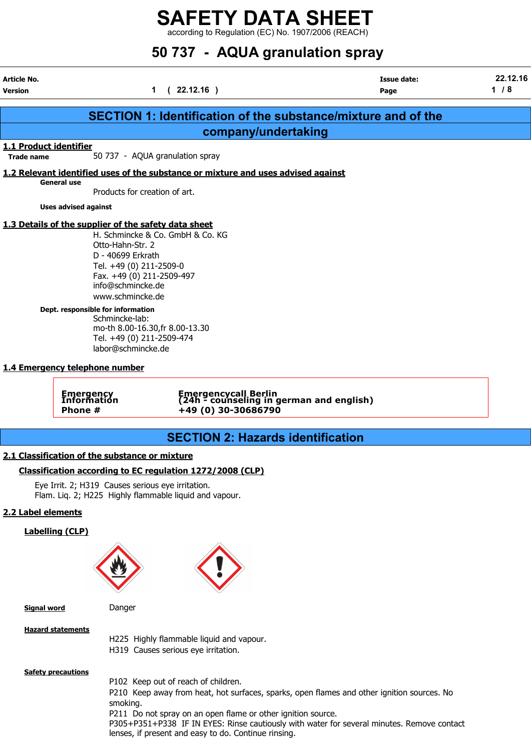$\frac{22}{12}$  according to Regulation (EC) No. 1907/2006 (REACH)

# 50 737 - AQUA granulation spray

Article No. Issue date: 22.12.16

| <b>Version</b>         | 1                                                                                                           | 22.12.16 )          | Page                                                                                       | 1/8 |
|------------------------|-------------------------------------------------------------------------------------------------------------|---------------------|--------------------------------------------------------------------------------------------|-----|
|                        |                                                                                                             |                     | <b>SECTION 1: Identification of the substance/mixture and of the</b>                       |     |
|                        |                                                                                                             | company/undertaking |                                                                                            |     |
| 1.1 Product identifier |                                                                                                             |                     |                                                                                            |     |
| <b>Trade name</b>      | 50 737 - AQUA granulation spray                                                                             |                     |                                                                                            |     |
|                        | 1.2 Relevant identified uses of the substance or mixture and uses advised against                           |                     |                                                                                            |     |
|                        | General use<br>Products for creation of art.                                                                |                     |                                                                                            |     |
|                        | <b>Uses advised against</b>                                                                                 |                     |                                                                                            |     |
|                        | 1.3 Details of the supplier of the safety data sheet                                                        |                     |                                                                                            |     |
|                        | H. Schmincke & Co. GmbH & Co. KG<br>Otto-Hahn-Str. 2                                                        |                     |                                                                                            |     |
|                        | D - 40699 Erkrath                                                                                           |                     |                                                                                            |     |
|                        | Tel. +49 (0) 211-2509-0                                                                                     |                     |                                                                                            |     |
|                        | Fax. +49 (0) 211-2509-497<br>info@schmincke.de                                                              |                     |                                                                                            |     |
|                        | www.schmincke.de                                                                                            |                     |                                                                                            |     |
|                        | Dept. responsible for information<br>Schmincke-lab:                                                         |                     |                                                                                            |     |
|                        | mo-th 8.00-16.30, fr 8.00-13.30                                                                             |                     |                                                                                            |     |
|                        | Tel. +49 (0) 211-2509-474<br>labor@schmincke.de                                                             |                     |                                                                                            |     |
|                        | 1.4 Emergency telephone number                                                                              |                     |                                                                                            |     |
|                        |                                                                                                             |                     |                                                                                            |     |
|                        | Emergency<br>Information                                                                                    |                     | Emergencycall Berlin<br>(24h - counseling in german and english)                           |     |
|                        | Phone #                                                                                                     | +49 (0) 30-30686790 |                                                                                            |     |
|                        |                                                                                                             |                     |                                                                                            |     |
|                        |                                                                                                             |                     | <b>SECTION 2: Hazards identification</b>                                                   |     |
|                        | 2.1 Classification of the substance or mixture                                                              |                     |                                                                                            |     |
|                        | Classification according to EC regulation 1272/2008 (CLP)                                                   |                     |                                                                                            |     |
|                        | Eye Irrit. 2; H319 Causes serious eye irritation.<br>Flam. Liq. 2; H225 Highly flammable liquid and vapour. |                     |                                                                                            |     |
| 2.2 Label elements     |                                                                                                             |                     |                                                                                            |     |
|                        |                                                                                                             |                     |                                                                                            |     |
| <b>Labelling (CLP)</b> |                                                                                                             |                     |                                                                                            |     |
|                        |                                                                                                             |                     |                                                                                            |     |
|                        |                                                                                                             |                     |                                                                                            |     |
|                        |                                                                                                             |                     |                                                                                            |     |
| <b>Signal word</b>     | Danger                                                                                                      |                     |                                                                                            |     |
|                        |                                                                                                             |                     |                                                                                            |     |
|                        | <b>Hazard statements</b><br>H225 Highly flammable liquid and vapour.                                        |                     |                                                                                            |     |
|                        | H319 Causes serious eye irritation.                                                                         |                     |                                                                                            |     |
|                        | <b>Safety precautions</b>                                                                                   |                     |                                                                                            |     |
|                        | P102 Keep out of reach of children.                                                                         |                     |                                                                                            |     |
|                        | smoking.                                                                                                    |                     | P210 Keep away from heat, hot surfaces, sparks, open flames and other ignition sources. No |     |
|                        | P211 Do not spray on an open flame or other ignition source.                                                |                     |                                                                                            |     |
|                        | lenses, if present and easy to do. Continue rinsing.                                                        |                     | P305+P351+P338 IF IN EYES: Rinse cautiously with water for several minutes. Remove contact |     |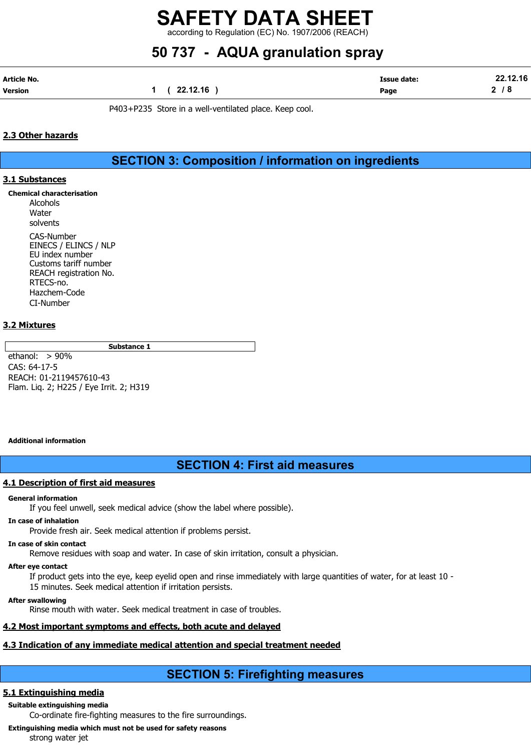according to Regulation (EC) No. 1907/2006 (REACH)

# 50 737 - AQUA granulation spray

| Article No. |          | Issue date: | 4.12.16 |
|-------------|----------|-------------|---------|
| Version     | 22.12.16 | Page        | ◠<br>o  |

P403+P235 Store in a well-ventilated place. Keep cool.

#### 2.3 Other hazards

## SECTION 3: Composition / information on ingredients

#### 3.1 Substances

#### Chemical characterisation

Alcohols Water solvents CAS-Number EINECS / ELINCS / NLP EU index number Customs tariff number REACH registration No. RTECS-no. Hazchem-Code CI-Number

#### 3.2 Mixtures

Substance 1

ethanol:  $> 90\%$ CAS: 64-17-5 REACH: 01-2119457610-43 Flam. Liq. 2; H225 / Eye Irrit. 2; H319

#### Additional information

### SECTION 4: First aid measures

#### 4.1 Description of first aid measures

#### General information

If you feel unwell, seek medical advice (show the label where possible).

### In case of inhalation

Provide fresh air. Seek medical attention if problems persist.

#### In case of skin contact

Remove residues with soap and water. In case of skin irritation, consult a physician.

#### After eye contact

If product gets into the eye, keep eyelid open and rinse immediately with large quantities of water, for at least 10 - 15 minutes. Seek medical attention if irritation persists.

#### After swallowing

Rinse mouth with water. Seek medical treatment in case of troubles.

### 4.2 Most important symptoms and effects, both acute and delayed

# 4.3 Indication of any immediate medical attention and special treatment needed

# SECTION 5: Firefighting measures

### 5.1 Extinguishing media

Suitable extinguishing media

Co-ordinate fire-fighting measures to the fire surroundings.

Extinguishing media which must not be used for safety reasons

strong water jet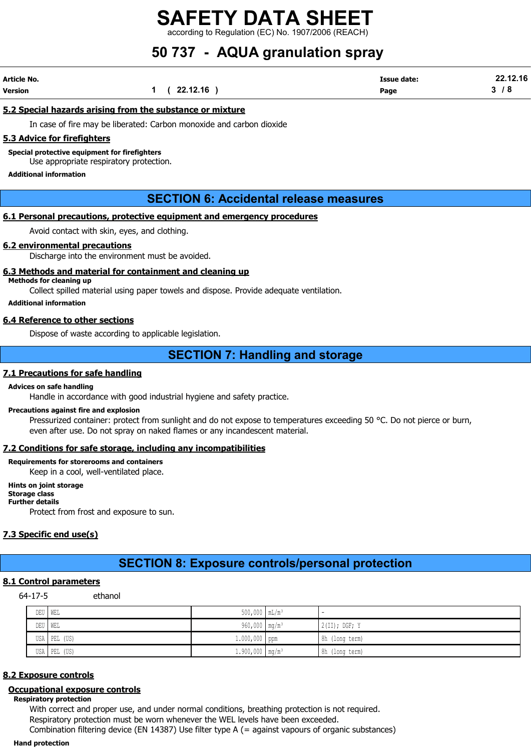rding to Regulation (EC) No. 1907/2006 (REACH)

# 50 737 - AQUA granulation spray

| Article No. |             | <b>Issue date:</b> | 22.12.16 |
|-------------|-------------|--------------------|----------|
| Version     | 1(22.12.16) | Page               | 78       |

#### 5.2 Special hazards arising from the substance or mixture

In case of fire may be liberated: Carbon monoxide and carbon dioxide

#### 5.3 Advice for firefighters

Special protective equipment for firefighters

Use appropriate respiratory protection.

#### Additional information

### SECTION 6: Accidental release measures

#### 6.1 Personal precautions, protective equipment and emergency procedures

Avoid contact with skin, eyes, and clothing.

#### 6.2 environmental precautions

Discharge into the environment must be avoided.

#### 6.3 Methods and material for containment and cleaning up

#### Methods for cleaning up

Collect spilled material using paper towels and dispose. Provide adequate ventilation.

Additional information

#### 6.4 Reference to other sections

Dispose of waste according to applicable legislation.

## SECTION 7: Handling and storage

#### 7.1 Precautions for safe handling

#### Advices on safe handling

Handle in accordance with good industrial hygiene and safety practice.

#### Precautions against fire and explosion

Pressurized container: protect from sunlight and do not expose to temperatures exceeding 50 °C. Do not pierce or burn, even after use. Do not spray on naked flames or any incandescent material.

#### 7.2 Conditions for safe storage, including any incompatibilities

#### Requirements for storerooms and containers

Keep in a cool, well-ventilated place.

Hints on joint storage Storage class Further details

Protect from frost and exposure to sun.

### 7.3 Specific end use(s)

# SECTION 8: Exposure controls/personal protection

### 8.1 Control parameters

64-17-5 ethanol

| DEU WEL      | $500,000$ $\rm{mL/m^3}$       |                 |
|--------------|-------------------------------|-----------------|
| DEU WEL      | $960,000$ mg/m <sup>3</sup>   | $2(II);$ DGF; Y |
| USA PEL (US) | ⊥.000,000 ppm                 | 8h (long term)  |
| USA PEL (US) | $1.900,000$ mg/m <sup>3</sup> | 8h (long term)  |

#### 8.2 Exposure controls

#### Occupational exposure controls

Respiratory protection

With correct and proper use, and under normal conditions, breathing protection is not required. Respiratory protection must be worn whenever the WEL levels have been exceeded. Combination filtering device (EN 14387) Use filter type A (= against vapours of organic substances)

#### Hand protection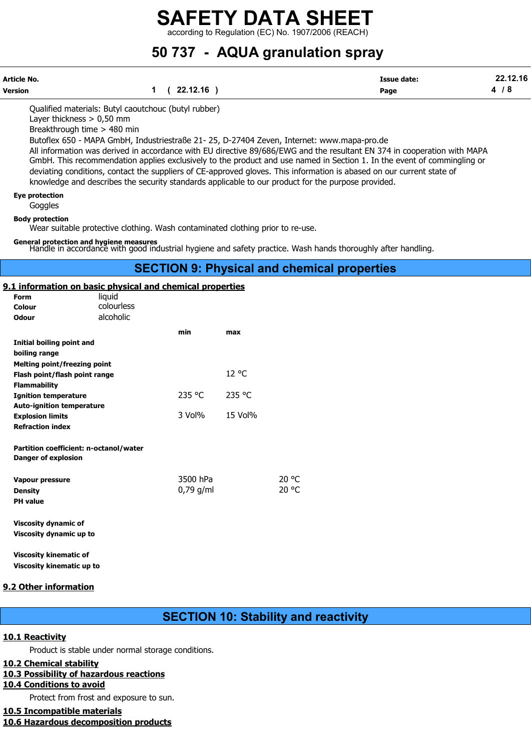according to Regulation (EC) No. 1907/2006 (REACH)

# 50 737 - AQUA granulation spray

| Article No. |          | <b>Issue date:</b> | 12.16 |
|-------------|----------|--------------------|-------|
| Version     | 22.12.16 | Page               | - 0   |

Qualified materials: Butyl caoutchouc (butyl rubber)

Layer thickness > 0,50 mm

Breakthrough time > 480 min

Butoflex 650 - MAPA GmbH, Industriestraße 21- 25, D-27404 Zeven, Internet: www.mapa-pro.de

All information was derived in accordance with EU directive 89/686/EWG and the resultant EN 374 in cooperation with MAPA GmbH. This recommendation applies exclusively to the product and use named in Section 1. In the event of commingling or deviating conditions, contact the suppliers of CE-approved gloves. This information is abased on our current state of knowledge and describes the security standards applicable to our product for the purpose provided.

#### Eye protection

Goggles

#### Body protection

Wear suitable protective clothing. Wash contaminated clothing prior to re-use.

General protection and hygiene measures Handle in accordance with good industrial hygiene and safety practice. Wash hands thoroughly after handling.

# SECTION 9: Physical and chemical properties

#### 9.1 information on basic physical and chemical properties

| Form                                                                 | liquid     |                       |         |                |
|----------------------------------------------------------------------|------------|-----------------------|---------|----------------|
| <b>Colour</b>                                                        | colourless |                       |         |                |
| <b>Odour</b>                                                         | alcoholic  |                       |         |                |
|                                                                      |            | min                   | max     |                |
| Initial boiling point and                                            |            |                       |         |                |
| boiling range                                                        |            |                       |         |                |
| <b>Melting point/freezing point</b>                                  |            |                       |         |                |
| Flash point/flash point range                                        |            |                       | 12 °C   |                |
| <b>Flammability</b>                                                  |            |                       |         |                |
| <b>Ignition temperature</b>                                          |            | 235 °C                | 235 °C  |                |
| <b>Auto-ignition temperature</b>                                     |            |                       |         |                |
| <b>Explosion limits</b>                                              |            | 3 Vol%                | 15 Vol% |                |
| <b>Refraction index</b>                                              |            |                       |         |                |
| Partition coefficient: n-octanol/water<br><b>Danger of explosion</b> |            |                       |         |                |
| <b>Vapour pressure</b><br><b>Density</b><br><b>PH</b> value          |            | 3500 hPa<br>0,79 g/ml |         | 20 °C<br>20 °C |
|                                                                      |            |                       |         |                |

Viscosity dynamic of Viscosity dynamic up to

Viscosity kinematic of Viscosity kinematic up to

#### 9.2 Other information

## SECTION 10: Stability and reactivity

#### 10.1 Reactivity

Product is stable under normal storage conditions.

#### 10.2 Chemical stability

#### 10.3 Possibility of hazardous reactions

10.4 Conditions to avoid

Protect from frost and exposure to sun.

#### 10.5 Incompatible materials

10.6 Hazardous decomposition products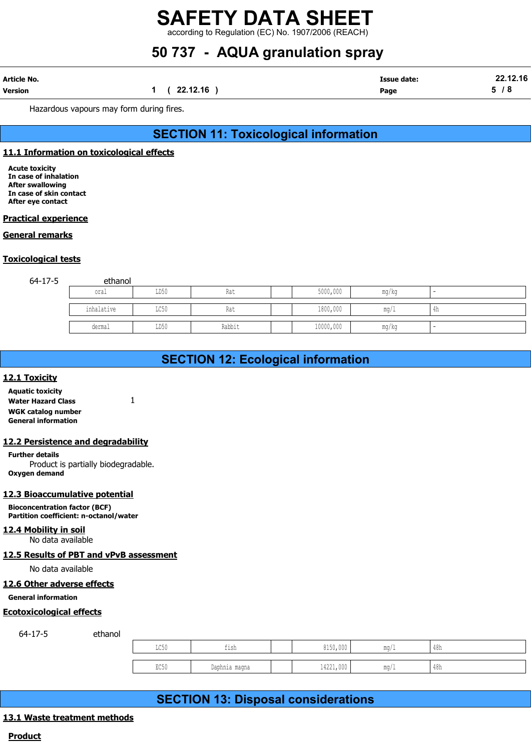according to Regulation (EC) No. 1907/2006 (REACH)

# 50 737 - AQUA granulation spray

| Article No. |           | <b>Issue date:</b> | 22.12.16 |
|-------------|-----------|--------------------|----------|
| Version     | (22.12.16 | Page               | 5/8      |

Hazardous vapours may form during fires.

# SECTION 11: Toxicological information

#### 11.1 Information on toxicological effects

Acute toxicity In case of inhalation After swallowing In case of skin contact After eye contact

#### Practical experience

#### General remarks

#### Toxicological tests

64-17-5 ethanol

|                                   | 1(22.12.16) |        |                                              | issue date:<br>Page | 44. I 4. I V<br>5/8 |
|-----------------------------------|-------------|--------|----------------------------------------------|---------------------|---------------------|
| vapours may form during fires.    |             |        |                                              |                     |                     |
|                                   |             |        | <b>SECTION 11: Toxicological information</b> |                     |                     |
| <u>n on toxicological effects</u> |             |        |                                              |                     |                     |
| ion                               |             |        |                                              |                     |                     |
| ntact                             |             |        |                                              |                     |                     |
| <u>ence</u>                       |             |        |                                              |                     |                     |
| <u>s</u>                          |             |        |                                              |                     |                     |
|                                   |             |        |                                              |                     |                     |
| <u>sts</u>                        |             |        |                                              |                     |                     |
| ethanol<br>oral                   | LD50        | Rat    | 5000,000                                     | mg/kg               | $\sim$              |
| inhalative                        | LC50        | Rat    | 1800,000                                     | mg/1                | $4\mathrm{h}$       |
| dermal                            | LD50        | Rabbit | 10000,000                                    | mg/kg               | $\sim$              |
|                                   |             |        |                                              |                     |                     |
|                                   |             |        | <b>SECTION 12: Ecological information</b>    |                     |                     |

## SECTION 12: Ecological information

#### 12.1 Toxicity

Aquatic toxicity Water Hazard Class 1 WGK catalog number General information

#### 12.2 Persistence and degradability

Further details Product is partially biodegradable. Oxygen demand

#### 12.3 Bioaccumulative potential

Bioconcentration factor (BCF) Partition coefficient: n-octanol/water

12.4 Mobility in soil No data available

#### 12.5 Results of PBT and vPvB assessment

No data available

#### 12.6 Other adverse effects

General information

#### Ecotoxicological effects

64-17-5 ethanol

| adability     |                       |                                            |           |                          |                |  |
|---------------|-----------------------|--------------------------------------------|-----------|--------------------------|----------------|--|
|               | degradable.           |                                            |           |                          |                |  |
| <u>ential</u> |                       |                                            |           |                          |                |  |
| l/water       |                       |                                            |           |                          |                |  |
| lor           | <b>PvB assessment</b> |                                            |           |                          |                |  |
|               | $_{\rm LC50}$         | fish                                       | 8150,000  | $\mathrm{mg}/\mathrm{1}$ | $48h$          |  |
|               | EC50                  | Daphnia magna                              | 14221,000 | mg/1                     | $48\mathrm{h}$ |  |
|               |                       |                                            |           |                          |                |  |
|               |                       | <b>SECTION 13: Disposal considerations</b> |           |                          |                |  |
| <u>thods</u>  |                       |                                            |           |                          |                |  |
|               |                       |                                            |           |                          |                |  |

# SECTION 13: Disposal considerations

### 13.1 Waste treatment methods

#### **Product**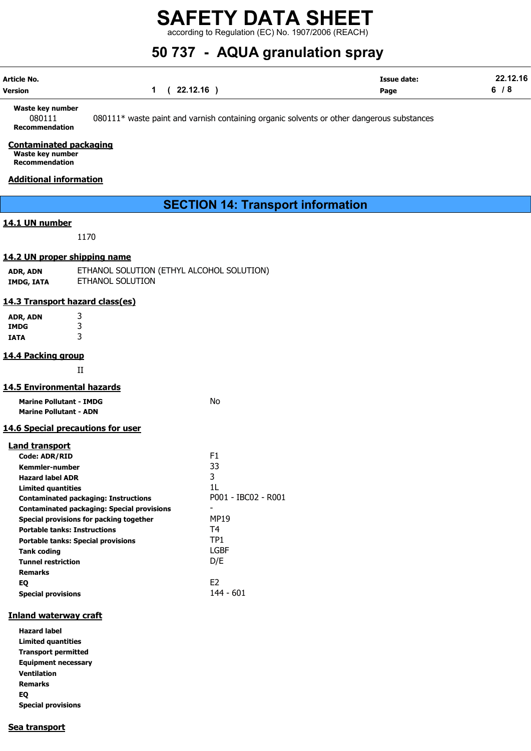according to Regulation (EC) No. 1907/2006 (REACH)

# 50 737 - AQUA granulation spray

| Article No. |               | <b>Issue date:</b> | 22.12.16 |
|-------------|---------------|--------------------|----------|
| Version     | 1 (22.12.16 , | Page               | 6/8      |

Waste key number

080111 080111\* waste paint and varnish containing organic solvents or other dangerous substances Recommendation

#### Contaminated packaging

Waste key number Recommendation

#### Additional information

## SECTION 14: Transport information

#### 14.1 UN number

1170

#### 14.2 UN proper shipping name

| ADR, ADN   | ETHANOL SOLUTION (ETHYL ALCOHOL SOLUTION) |
|------------|-------------------------------------------|
| IMDG, IATA | ETHANOL SOLUTION                          |

#### 14.3 Transport hazard class(es)

| ADR, ADN | 3 |
|----------|---|
| IMDG     | 3 |
| IATA     | 3 |

#### 14.4 Packing group

II

#### 14.5 Environmental hazards

Marine Pollutant - IMDG No Marine Pollutant - ADN

#### 14.6 Special precautions for user

#### Land transport

| <b>Code: ADR/RID</b>                              | F1                  |
|---------------------------------------------------|---------------------|
| Kemmler-number                                    | 33                  |
| <b>Hazard label ADR</b>                           | 3                   |
| <b>Limited quantities</b>                         | 11.                 |
| <b>Contaminated packaging: Instructions</b>       | P001 - IBC02 - R001 |
| <b>Contaminated packaging: Special provisions</b> |                     |
| Special provisions for packing together           | <b>MP19</b>         |
| <b>Portable tanks: Instructions</b>               | T4                  |
| <b>Portable tanks: Special provisions</b>         | TP1                 |
| <b>Tank coding</b>                                | LGBF                |
| <b>Tunnel restriction</b>                         | D/E                 |
| <b>Remarks</b>                                    |                     |
| EQ                                                | F <sub>2</sub>      |
| <b>Special provisions</b>                         | 144 - 601           |

#### Inland waterway craft

Hazard label Limited quantities Transport permitted Equipment necessary Ventilation Remarks EQ Special provisions

#### Sea transport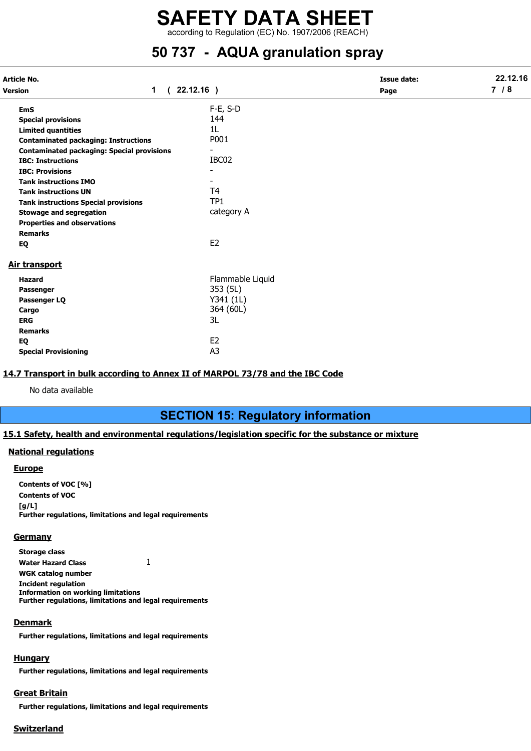# SAFETY DATA SHEET according to Regulation (EC) No. 1907/2006 (REACH)

# 50 737 - AQUA granulation spray

| Article No.                                       |                           | <b>Issue date:</b> | 22.12.16 |
|---------------------------------------------------|---------------------------|--------------------|----------|
| <b>Version</b>                                    | (22.12.16)<br>$\mathbf 1$ | Page               | 7/8      |
| <b>EmS</b>                                        | $F-E$ , S-D               |                    |          |
| <b>Special provisions</b>                         | 144                       |                    |          |
| <b>Limited quantities</b>                         | 1L                        |                    |          |
| <b>Contaminated packaging: Instructions</b>       | P001                      |                    |          |
| <b>Contaminated packaging: Special provisions</b> |                           |                    |          |
| <b>IBC: Instructions</b>                          | IBC02                     |                    |          |
| <b>IBC: Provisions</b>                            | $\blacksquare$            |                    |          |
| <b>Tank instructions IMO</b>                      |                           |                    |          |
| <b>Tank instructions UN</b>                       | T4                        |                    |          |
| <b>Tank instructions Special provisions</b>       | TP1                       |                    |          |
| <b>Stowage and segregation</b>                    | category A                |                    |          |
| <b>Properties and observations</b>                |                           |                    |          |
| <b>Remarks</b>                                    |                           |                    |          |
| EQ                                                | E <sub>2</sub>            |                    |          |
| Air transport                                     |                           |                    |          |
| <b>Hazard</b>                                     | Flammable Liquid          |                    |          |
| Passenger                                         | 353 (5L)                  |                    |          |
| Passenger LQ                                      | Y341 (1L)                 |                    |          |
| Cargo                                             | 364 (60L)                 |                    |          |
| <b>ERG</b>                                        | 3L                        |                    |          |
| <b>Remarks</b>                                    |                           |                    |          |
| EQ                                                | E <sub>2</sub>            |                    |          |
| <b>Special Provisioning</b>                       | A <sub>3</sub>            |                    |          |

#### 14.7 Transport in bulk according to Annex II of MARPOL 73/78 and the IBC Code

No data available

## SECTION 15: Regulatory information

#### 15.1 Safety, health and environmental regulations/legislation specific for the substance or mixture

#### National regulations

#### **Europe**

Contents of VOC [%] Contents of VOC  $[q/L]$ Further regulations, limitations and legal requirements

#### **Germany**

Storage class Water Hazard Class  $1$ WGK catalog number Incident regulation Information on working limitations Further regulations, limitations and legal requirements

#### Denmark

Further regulations, limitations and legal requirements

### **Hungary**

Further regulations, limitations and legal requirements

#### Great Britain

Further regulations, limitations and legal requirements

### Switzerland